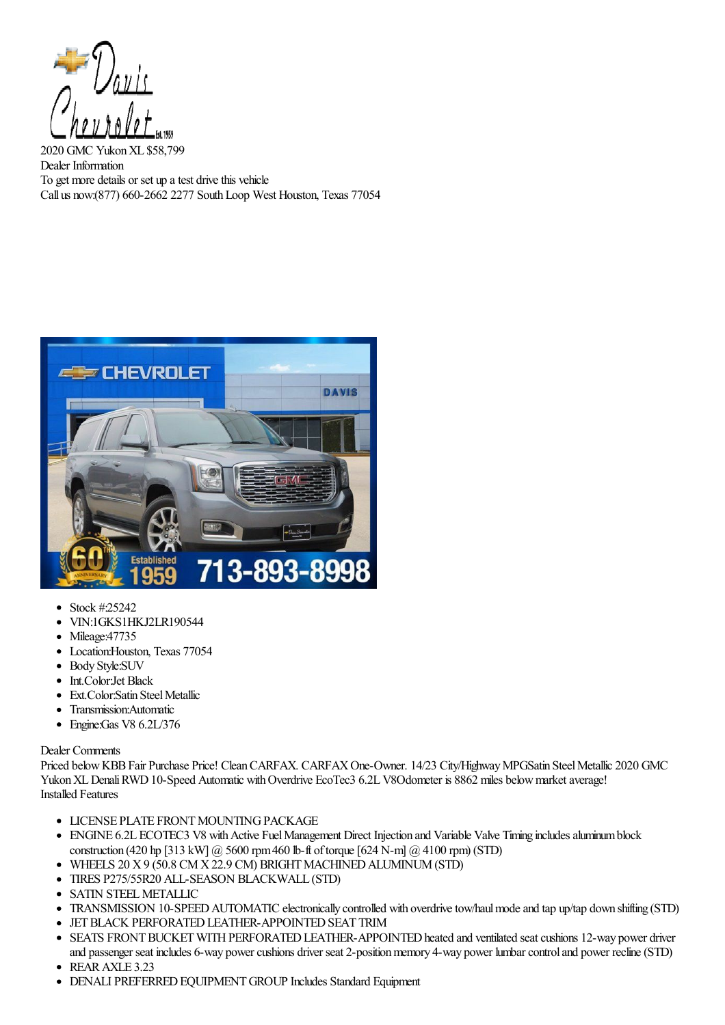

2020 GMC YukonXL \$58,799 Dealer Information To get more details or set up a test drive this vehicle Call us now:(877) 660-2662 2277 SouthLoop West Houston, Texas 77054



- $\bullet$ Stock #:25242
- VIN:1GKS1HKJ2LR190544
- Mileage:47735
- Location:Houston, Texas 77054
- Body Style:SUV
- Int.Color:Jet Black
- Ext.Color:Satin Steel Metallic  $\bullet$
- Transmission:Automatic
- Engine:Gas V8 6.2L/376

## Dealer Comments

Priced below KBB Fair Purchase Price! Clean CARFAX. CARFAX One-Owner. 14/23 City/Highway MPGSatin Steel Metallic 2020 GMC Yukon XL Denali RWD 10-Speed Automatic with Overdrive EcoTec3 6.2L V8Odometer is 8862 miles below market average! Installed Features

- **LICENSE PLATE FRONT MOUNTING PACK AGE**
- ENGINE 6.2L ECOTEC3 V8 with Active Fuel Management Direct Injection and Variable Valve Timing includes aluminum block construction (420 hp [313 kW]  $\omega$  5600 rpm 460 lb-ft of torque [624 N-m]  $\omega$  4100 rpm) (STD)
- $\bullet$  WHEELS 20 X 9 (50.8 CM X 22.9 CM) BRIGHT MACHINED ALUMINUM (STD)
- TIRES P275/55R20 ALL-SEASON BLACKWALL (STD)
- SATIN STEEL METALLIC
- TRANSMISSION 10-SPEED AUTOMATIC electronically controlled with overdrive tow/haul mode and tap up/tap down shifting (STD)  $\bullet$
- **JET BLACK PERFORATED LEATHER-APPOINTED SEAT TRIM**
- SEATS FRONT BUCKET WITH PERFORATED LEATHER-APPOINTED heated and ventilated seat cushions 12-way power driver and passenger seat includes 6-way power cushions driver seat 2-position memory 4-way power lumbar control and power recline (STD)
- REAR AXLE 3.23
- DENALI PREFERRED EQUIPMENT GROUP Includes Standard Equipment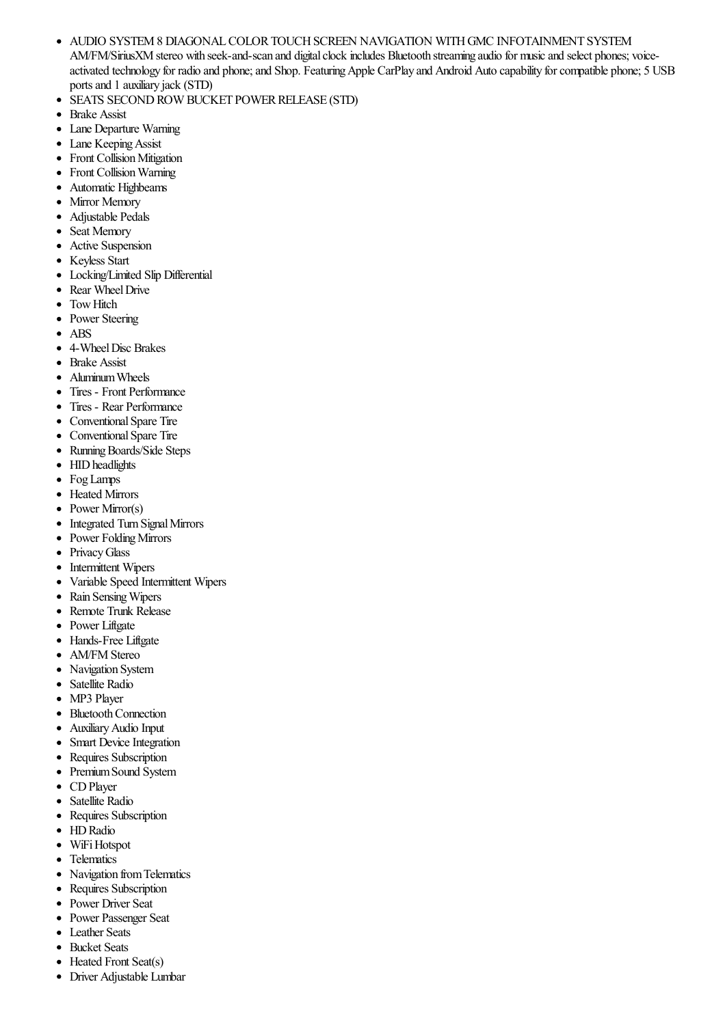- AUDIO SYSTEM8 DIAGONALCOLORTOUCHSCREEN NAVIGATION WITHGMC INFOTAINMENT SYSTEM  $\bullet$ AM/FM/SiriusXM stereo with seek-and-scan and digital clock includes Bluetooth streaming audio for music and select phones; voiceactivated technology for radio and phone; and Shop. Featuring Apple CarPlay and Android Auto capability for compatible phone; 5 USB ports and 1 auxiliary jack (STD)
- $\bullet$ SEATS SECOND ROW BUCKET POWER RELEASE (STD)
- $\bullet$ Brake Assist
- $\bullet$ Lane Departure Warning
- Lane Keeping Assist
- Front Collision Mitigation
- Front Collision Warning  $\bullet$
- Automatic Highbeams  $\bullet$
- Mirror Memory
- Adjustable Pedals
- Seat Memory  $\bullet$
- Active Suspension  $\bullet$
- $\bullet$ Keyless Start
- Locking/Limited Slip Differential  $\bullet$
- Rear Wheel Drive  $\bullet$
- **Tow Hitch**
- Power Steering  $\bullet$
- ABS  $\bullet$
- 4-Wheel Disc Brakes  $\bullet$
- Brake Assist  $\bullet$
- AluminumWheels  $\bullet$
- Tires Front Performance
- Tires Rear Performance
- Conventional Spare Tire
- Conventional Spare Tire  $\bullet$
- $\bullet$ Running Boards/Side Steps
- HID headlights  $\bullet$
- FogLamps  $\bullet$
- Heated Mirrors  $\bullet$
- $\bullet$ Power Mirror(s)
- Integrated Turn Signal Mirrors  $\bullet$
- Power Folding Mirrors  $\bullet$
- $\bullet$ PrivacyGlass
- Intermittent Wipers  $\bullet$
- $\bullet$ Variable Speed Intermittent Wipers
- Rain SensingWipers  $\bullet$
- $\bullet$ Remote Trunk Release
- $\bullet$ Power Liftgate
- Hands-Free Liftgate  $\bullet$
- AM/FM Stereo
- Navigation System
- Satellite Radio  $\bullet$
- MP3 Player  $\bullet$
- **Bluetooth Connection**  $\bullet$
- $\bullet$ AuxiliaryAudio Input
- Smart Device Integration  $\bullet$
- $\bullet$ Requires Subscription
- $\bullet$ PremiumSound System
- $\bullet$ CDPlayer
- Satellite Radio  $\bullet$
- Requires Subscription  $\bullet$
- $\bullet$ HD Radio
- $\bullet$ WiFi Hotspot
- **Telematics**  $\bullet$
- $\bullet$ Navigation fromTelematics
- Requires Subscription  $\bullet$
- Power Driver Seat  $\bullet$
- Power Passenger Seat  $\bullet$
- $\bullet$ Leather Seats
- Bucket Seats  $\bullet$
- Heated Front Seat(s)  $\bullet$
- $\bullet$ Driver Adjustable Lumbar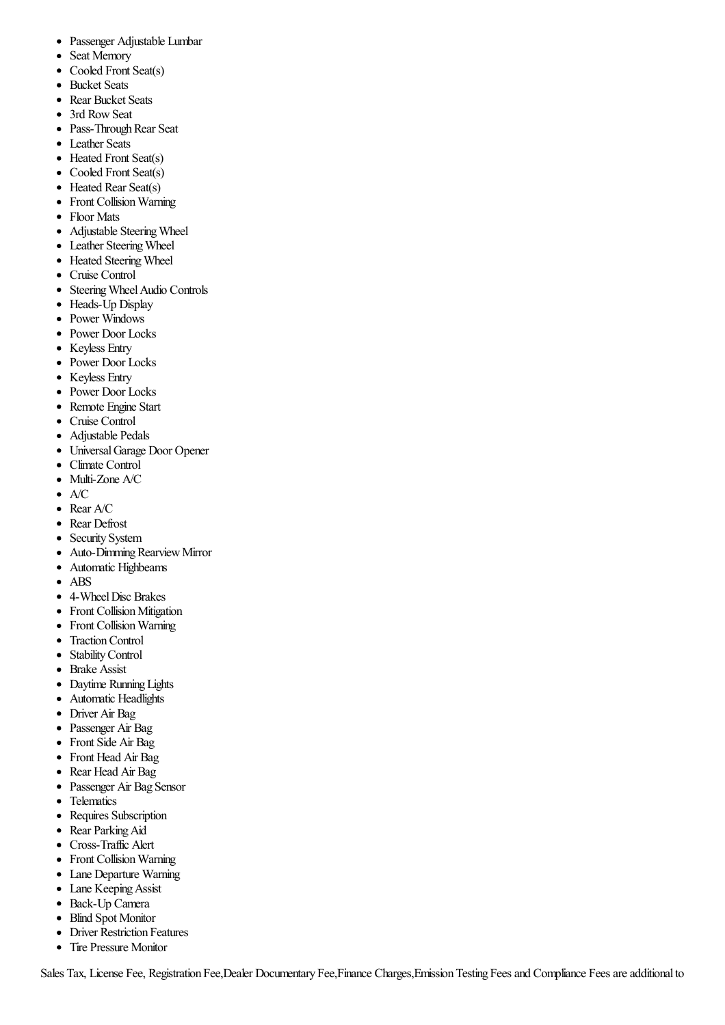- Passenger Adjustable Lumbar  $\bullet$
- Seat Memory  $\bullet$
- $\bullet$ Cooled Front Seat(s)
- $\bullet$ Bucket Seats
- Rear Bucket Seats
- 3rd Row Seat
- Pass-Through Rear Seat
- Leather Seats
- Heated Front Seat(s)
- Cooled Front Seat(s)
- Heated Rear Seat(s)
- Front Collision Warning
- Floor Mats
- Adjustable Steering Wheel  $\bullet$
- Leather Steering Wheel  $\bullet$
- Heated Steering Wheel
- Cruise Control  $\bullet$
- Steering Wheel Audio Controls  $\bullet$
- $\bullet$ Heads-Up Display
- Power Windows
- Power Door Locks
- $\bullet$ Keyless Entry
- Power Door Locks
- Keyless Entry
- Power Door Locks
- Remote Engine Start
- Cruise Control  $\bullet$
- Adjustable Pedals  $\bullet$
- UniversalGarage Door Opener  $\bullet$
- Climate Control  $\bullet$
- Multi-Zone A/C  $\bullet$
- A/C  $\bullet$
- Rear A/C
- Rear Defrost
- Security System
- $\bullet$ Auto-Dimming Rearview Mirror
- Automatic Highbeams  $\bullet$
- ABS  $\bullet$
- 4-Wheel Disc Brakes
- Front Collision Mitigation
- Front Collision Warning
- Traction Control
- StabilityControl  $\bullet$
- Brake Assist  $\bullet$
- Daytime Running Lights
- Automatic Headlights
- Driver Air Bag
- Passenger Air Bag
- Front Side Air Bag
- Front Head Air Bag
- $\bullet$ Rear Head Air Bag
- Passenger Air Bag Sensor  $\bullet$
- Telematics
- Requires Subscription
- Rear Parking Aid
- Cross-Traffic Alert  $\bullet$
- Front Collision Warning
- $\bullet$ Lane Departure Warning
- Lane Keeping Assist
- Back-Up Camera
- Blind Spot Monitor  $\bullet$
- $\bullet$ Driver Restriction Features
- Tire Pressure Monitor

Sales Tax, License Fee, Registration Fee, Dealer Documentary Fee, Finance Charges, Emission Testing Fees and Compliance Fees are additional to